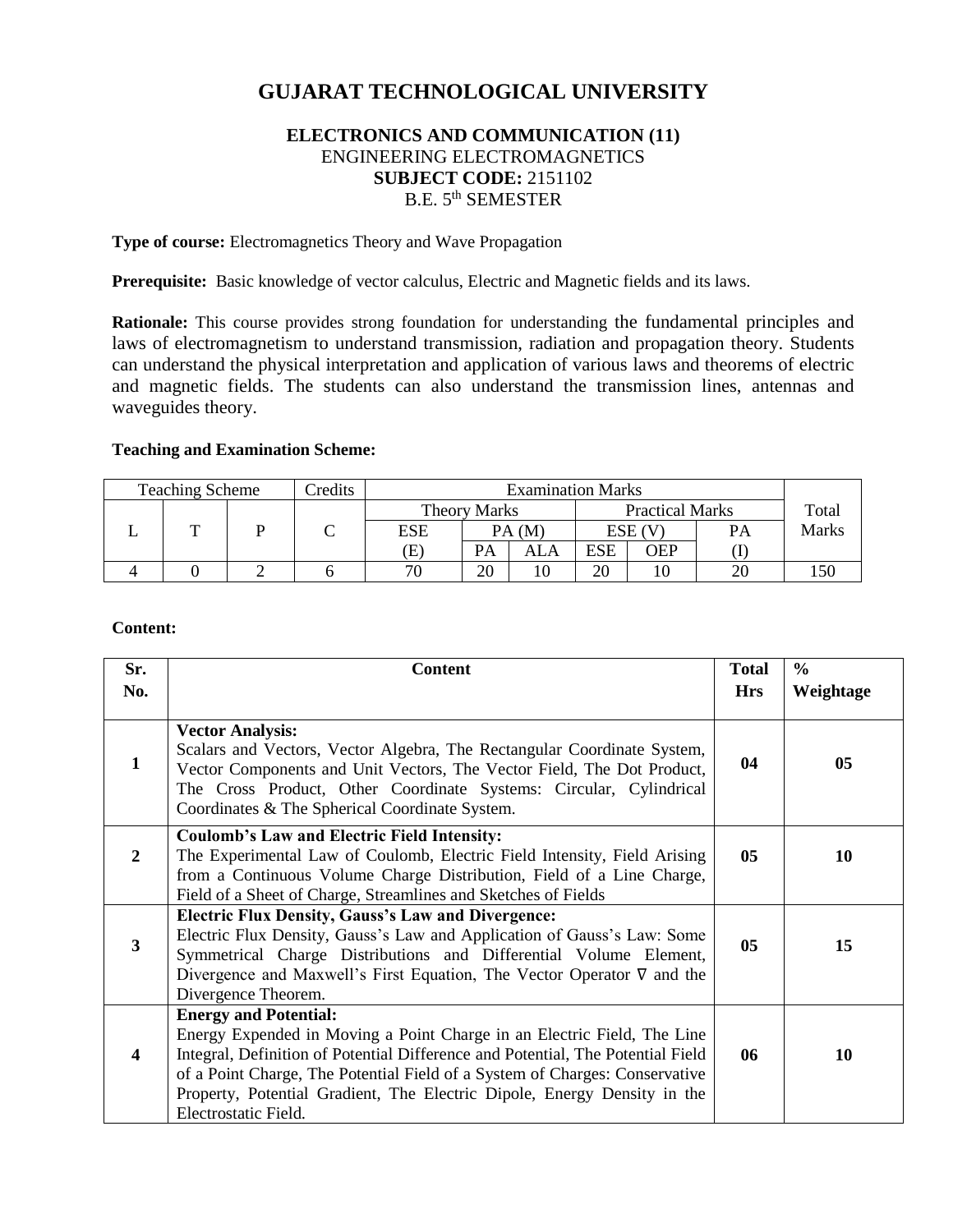# **GUJARAT TECHNOLOGICAL UNIVERSITY**

# **ELECTRONICS AND COMMUNICATION (11)** ENGINEERING ELECTROMAGNETICS **SUBJECT CODE:** 2151102 B.E. 5th SEMESTER

**Type of course:** Electromagnetics Theory and Wave Propagation

Prerequisite: Basic knowledge of vector calculus, Electric and Magnetic fields and its laws.

**Rationale:** This course provides strong foundation for understanding the fundamental principles and laws of electromagnetism to understand transmission, radiation and propagation theory. Students can understand the physical interpretation and application of various laws and theorems of electric and magnetic fields. The students can also understand the transmission lines, antennas and waveguides theory.

#### **Teaching and Examination Scheme:**

| <b>Teaching Scheme</b> | Credits |            |                     |     | <b>Examination Marks</b> |     |    |       |
|------------------------|---------|------------|---------------------|-----|--------------------------|-----|----|-------|
|                        |         |            | <b>Theory Marks</b> |     | <b>Practical Marks</b>   |     |    | Total |
|                        |         | <b>ESE</b> | PA(M)               |     | ESE (V                   |     | PА | Marks |
|                        |         | Œ          | PA                  | ALA | <b>ESE</b>               | OEP |    |       |
|                        |         | 70         | 20                  | 10  | 20                       |     | 20 |       |

#### **Content:**

| Sr.                     | <b>Content</b>                                                                                                                                                                                                                                                                                                                                                                |                | $\frac{6}{6}$ |
|-------------------------|-------------------------------------------------------------------------------------------------------------------------------------------------------------------------------------------------------------------------------------------------------------------------------------------------------------------------------------------------------------------------------|----------------|---------------|
| No.                     |                                                                                                                                                                                                                                                                                                                                                                               | <b>Hrs</b>     | Weightage     |
| $\mathbf{1}$            | <b>Vector Analysis:</b><br>Scalars and Vectors, Vector Algebra, The Rectangular Coordinate System,<br>Vector Components and Unit Vectors, The Vector Field, The Dot Product,<br>The Cross Product, Other Coordinate Systems: Circular, Cylindrical<br>Coordinates & The Spherical Coordinate System.                                                                          | 04             | 05            |
| $\overline{2}$          | <b>Coulomb's Law and Electric Field Intensity:</b><br>The Experimental Law of Coulomb, Electric Field Intensity, Field Arising<br>from a Continuous Volume Charge Distribution, Field of a Line Charge,<br>Field of a Sheet of Charge, Streamlines and Sketches of Fields                                                                                                     | 05             | 10            |
| $\overline{\mathbf{3}}$ | <b>Electric Flux Density, Gauss's Law and Divergence:</b><br>Electric Flux Density, Gauss's Law and Application of Gauss's Law: Some<br>Symmetrical Charge Distributions and Differential Volume Element,<br>Divergence and Maxwell's First Equation, The Vector Operator $\nabla$ and the<br>Divergence Theorem.                                                             | 0 <sub>5</sub> | 15            |
| $\overline{\mathbf{4}}$ | <b>Energy and Potential:</b><br>Energy Expended in Moving a Point Charge in an Electric Field, The Line<br>Integral, Definition of Potential Difference and Potential, The Potential Field<br>of a Point Charge, The Potential Field of a System of Charges: Conservative<br>Property, Potential Gradient, The Electric Dipole, Energy Density in the<br>Electrostatic Field. | 06             | 10            |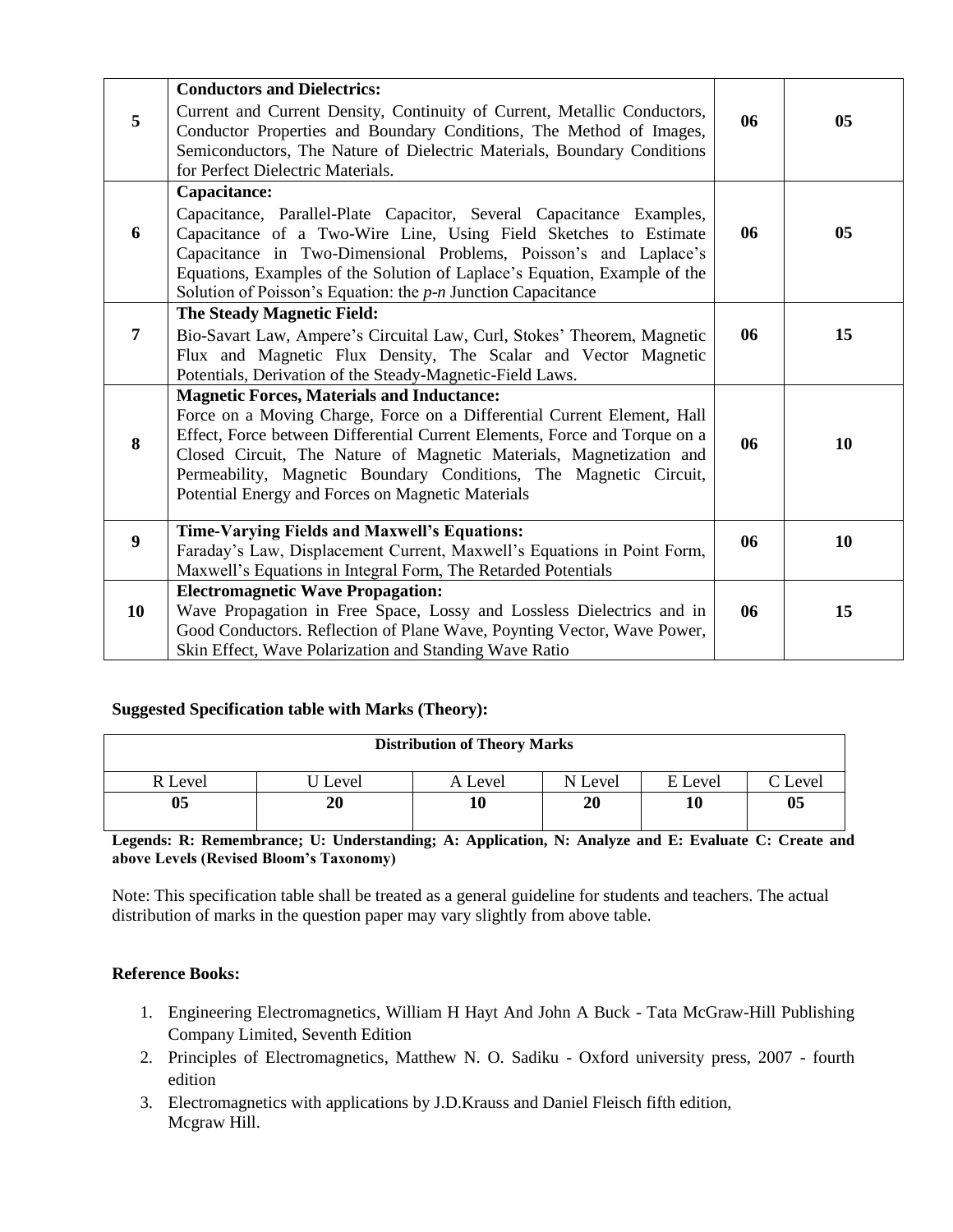|                | <b>Conductors and Dielectrics:</b>                                                                                                                                                                                                                                                                                                                           |    |                |
|----------------|--------------------------------------------------------------------------------------------------------------------------------------------------------------------------------------------------------------------------------------------------------------------------------------------------------------------------------------------------------------|----|----------------|
| 5              | Current and Current Density, Continuity of Current, Metallic Conductors,<br>Conductor Properties and Boundary Conditions, The Method of Images,<br>Semiconductors, The Nature of Dielectric Materials, Boundary Conditions<br>for Perfect Dielectric Materials.                                                                                              | 06 | 0 <sub>5</sub> |
|                | Capacitance:                                                                                                                                                                                                                                                                                                                                                 |    |                |
| 6              | Capacitance, Parallel-Plate Capacitor, Several Capacitance Examples,<br>Capacitance of a Two-Wire Line, Using Field Sketches to Estimate<br>Capacitance in Two-Dimensional Problems, Poisson's and Laplace's<br>Equations, Examples of the Solution of Laplace's Equation, Example of the<br>Solution of Poisson's Equation: the $p$ -n Junction Capacitance | 06 | 05             |
|                | The Steady Magnetic Field:                                                                                                                                                                                                                                                                                                                                   |    |                |
| $\overline{7}$ | Bio-Savart Law, Ampere's Circuital Law, Curl, Stokes' Theorem, Magnetic<br>Flux and Magnetic Flux Density, The Scalar and Vector Magnetic<br>Potentials, Derivation of the Steady-Magnetic-Field Laws.                                                                                                                                                       | 06 | 15             |
|                | <b>Magnetic Forces, Materials and Inductance:</b>                                                                                                                                                                                                                                                                                                            |    |                |
| 8              | Force on a Moving Charge, Force on a Differential Current Element, Hall<br>Effect, Force between Differential Current Elements, Force and Torque on a<br>Closed Circuit, The Nature of Magnetic Materials, Magnetization and<br>Permeability, Magnetic Boundary Conditions, The Magnetic Circuit,<br>Potential Energy and Forces on Magnetic Materials       | 06 | 10             |
| 9              | <b>Time-Varying Fields and Maxwell's Equations:</b><br>Faraday's Law, Displacement Current, Maxwell's Equations in Point Form,                                                                                                                                                                                                                               | 06 | 10             |
|                | Maxwell's Equations in Integral Form, The Retarded Potentials                                                                                                                                                                                                                                                                                                |    |                |
|                | <b>Electromagnetic Wave Propagation:</b>                                                                                                                                                                                                                                                                                                                     |    |                |
| 10             | Wave Propagation in Free Space, Lossy and Lossless Dielectrics and in                                                                                                                                                                                                                                                                                        | 06 | 15             |
|                | Good Conductors. Reflection of Plane Wave, Poynting Vector, Wave Power,<br>Skin Effect, Wave Polarization and Standing Wave Ratio                                                                                                                                                                                                                            |    |                |

#### **Suggested Specification table with Marks (Theory):**

| <b>Distribution of Theory Marks</b> |         |         |         |         |                             |  |  |
|-------------------------------------|---------|---------|---------|---------|-----------------------------|--|--|
| R Level                             | U Level | A Level | N Level | E Level | $\mathbin{\mathbb C}$ Level |  |  |
| 0 <sub>5</sub>                      | 20      | 10      | 20      | 10      | 0 <sub>5</sub>              |  |  |

**Legends: R: Remembrance; U: Understanding; A: Application, N: Analyze and E: Evaluate C: Create and above Levels (Revised Bloom's Taxonomy)**

Note: This specification table shall be treated as a general guideline for students and teachers. The actual distribution of marks in the question paper may vary slightly from above table.

#### **Reference Books:**

- 1. Engineering Electromagnetics, William H Hayt And John A Buck Tata McGraw-Hill Publishing Company Limited, Seventh Edition
- 2. Principles of Electromagnetics, Matthew N. O. Sadiku Oxford university press, 2007 fourth edition
- 3. Electromagnetics with applications by J.D.Krauss and Daniel Fleisch fifth edition, Mcgraw Hill.